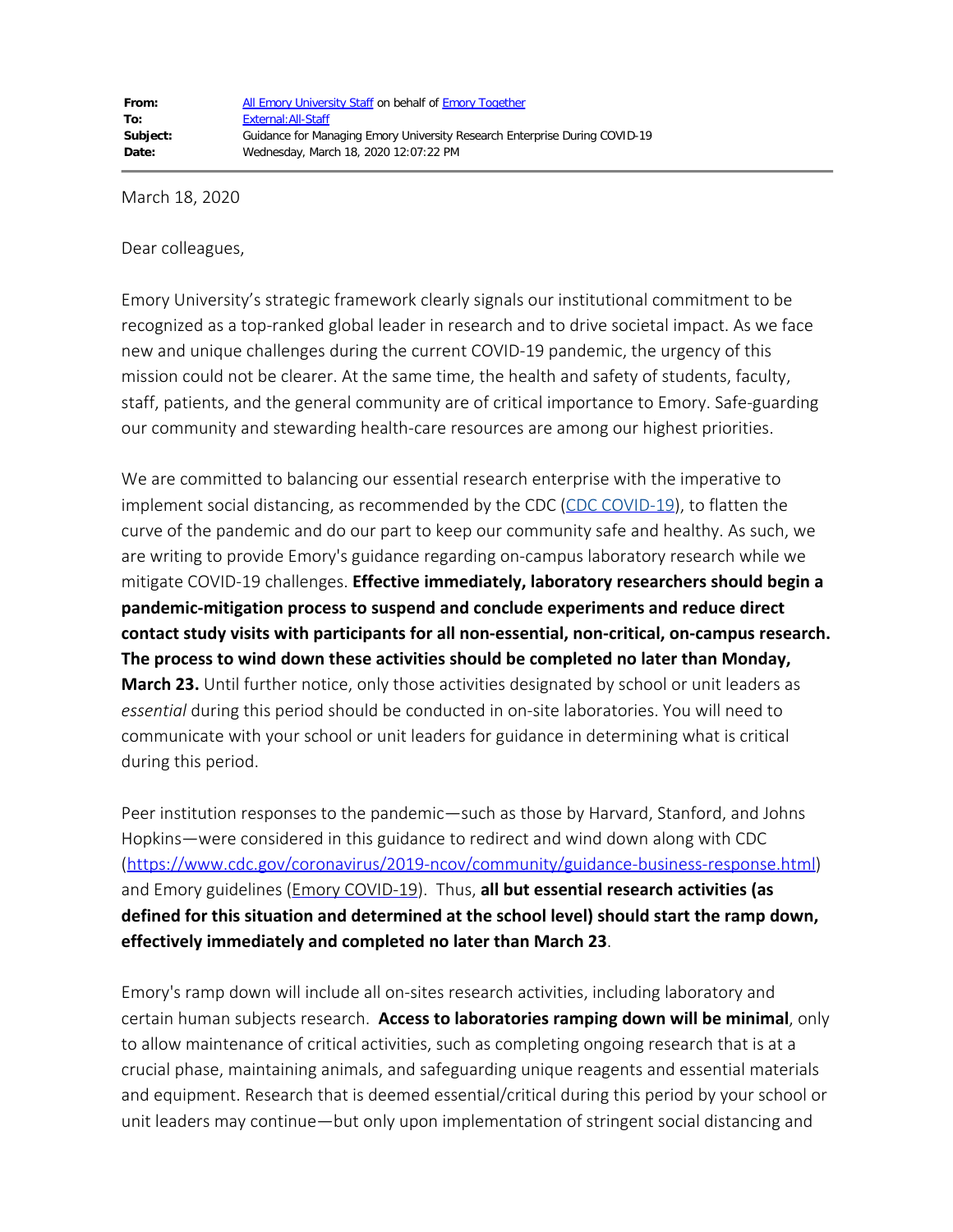March 18, 2020

Dear colleagues,

Emory University's strategic framework clearly signals our institutional commitment to be recognized as a top-ranked global leader in research and to drive societal impact. As we face new and unique challenges during the current COVID-19 pandemic, the urgency of this mission could not be clearer. At the same time, the health and safety of students, faculty, staff, patients, and the general community are of critical importance to Emory. Safe-guarding our community and stewarding health-care resources are among our highest priorities.

We are committed to balancing our essential research enterprise with the imperative to implement social distancing, as recommended by the CDC [\(CDC COVID-19](https://www.cdc.gov/coronavirus/2019-nCoV/index.html)), to flatten the curve of the pandemic and do our part to keep our community safe and healthy. As such, we are writing to provide Emory's guidance regarding on-campus laboratory research while we mitigate COVID-19 challenges. **Effective immediately, laboratory researchers should begin a pandemic-mitigation process to suspend and conclude experiments and reduce direct contact study visits with participants for all non-essential, non-critical, on-campus research. The process to wind down these activities should be completed no later than Monday, March 23.** Until further notice, only those activities designated by school or unit leaders as *essential* during this period should be conducted in on-site laboratories. You will need to communicate with your school or unit leaders for guidance in determining what is critical during this period.

Peer institution responses to the pandemic—such as those by Harvard, Stanford, and Johns Hopkins—were considered in this guidance to redirect and wind down along with CDC [\(https://www.cdc.gov/coronavirus/2019-ncov/community/guidance-business-response.html](https://www.cdc.gov/coronavirus/2019-ncov/community/guidance-business-response.html)) and Emory guidelines ([Emory COVID-19](https://www.emory.edu/coronavirus/)). Thus, **all but essential research activities (as defined for this situation and determined at the school level) should start the ramp down, effectively immediately and completed no later than March 23**.

Emory's ramp down will include all on-sites research activities, including laboratory and certain human subjects research. **Access to laboratories ramping down will be minimal**, only to allow maintenance of critical activities, such as completing ongoing research that is at a crucial phase, maintaining animals, and safeguarding unique reagents and essential materials and equipment. Research that is deemed essential/critical during this period by your school or unit leaders may continue—but only upon implementation of stringent social distancing and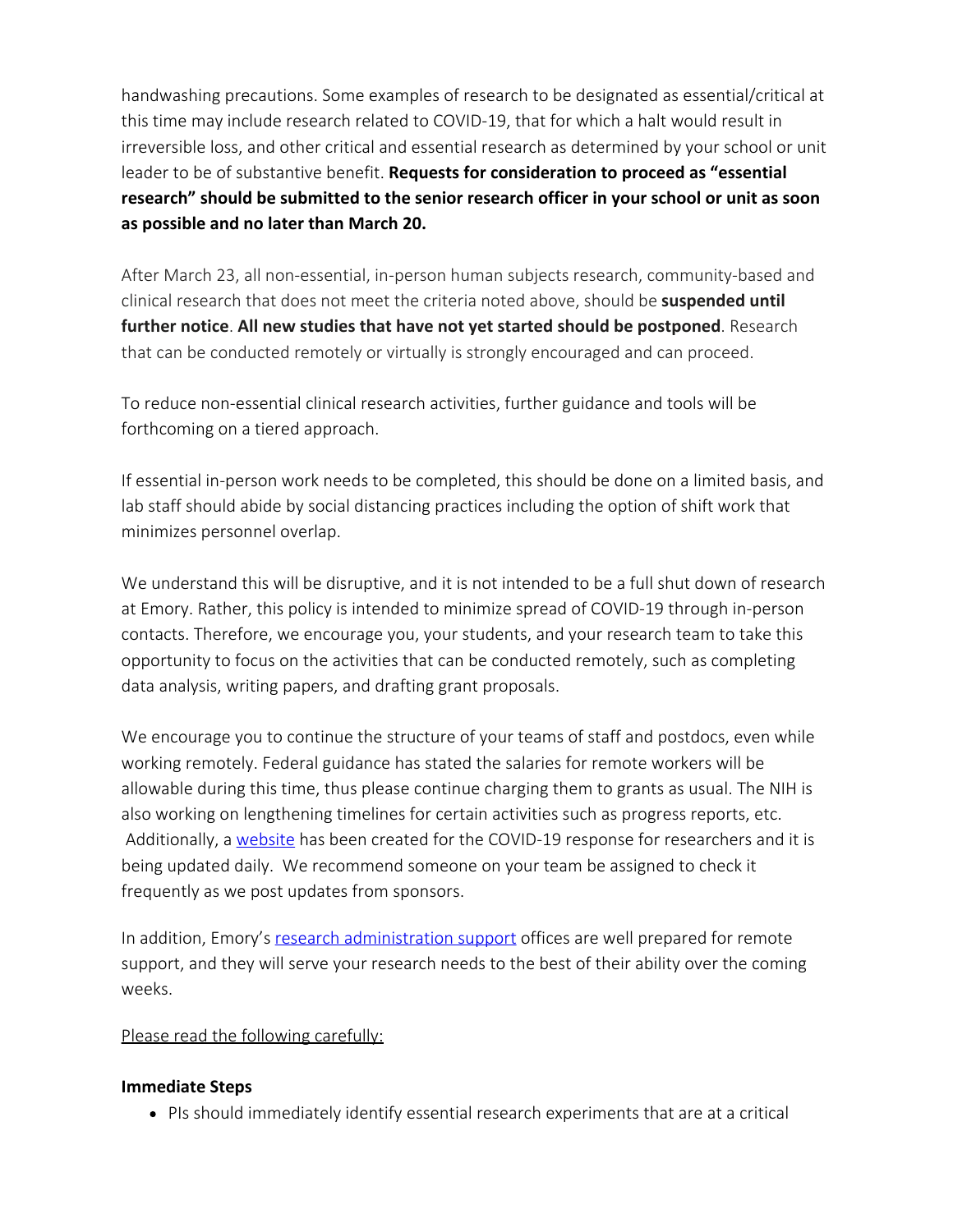handwashing precautions. Some examples of research to be designated as essential/critical at this time may include research related to COVID-19, that for which a halt would result in irreversible loss, and other critical and essential research as determined by your school or unit leader to be of substantive benefit. **Requests for consideration to proceed as "essential research" should be submitted to the senior research officer in your school or unit as soon as possible and no later than March 20.** 

After March 23, all non-essential, in-person human subjects research, community-based and clinical research that does not meet the criteria noted above, should be **suspended until further notice**. **All new studies that have not yet started should be postponed**. Research that can be conducted remotely or virtually is strongly encouraged and can proceed.

To reduce non-essential clinical research activities, further guidance and tools will be forthcoming on a tiered approach.

If essential in-person work needs to be completed, this should be done on a limited basis, and lab staff should abide by social distancing practices including the option of shift work that minimizes personnel overlap.

We understand this will be disruptive, and it is not intended to be a full shut down of research at Emory. Rather, this policy is intended to minimize spread of COVID-19 through in-person contacts. Therefore, we encourage you, your students, and your research team to take this opportunity to focus on the activities that can be conducted remotely, such as completing data analysis, writing papers, and drafting grant proposals.

We encourage you to continue the structure of your teams of staff and postdocs, even while working remotely. Federal guidance has stated the salaries for remote workers will be allowable during this time, thus please continue charging them to grants as usual. The NIH is also working on lengthening timelines for certain activities such as progress reports, etc. Additionally, a [website](http://ora.emory.edu/COVID/index.html) has been created for the COVID-19 response for researchers and it is being updated daily. We recommend someone on your team be assigned to check it frequently as we post updates from sponsors.

In addition, Emory's [research administration support](http://ora.emory.edu/) offices are well prepared for remote support, and they will serve your research needs to the best of their ability over the coming weeks.

### Please read the following carefully:

### **Immediate Steps**

PIs should immediately identify essential research experiments that are at a critical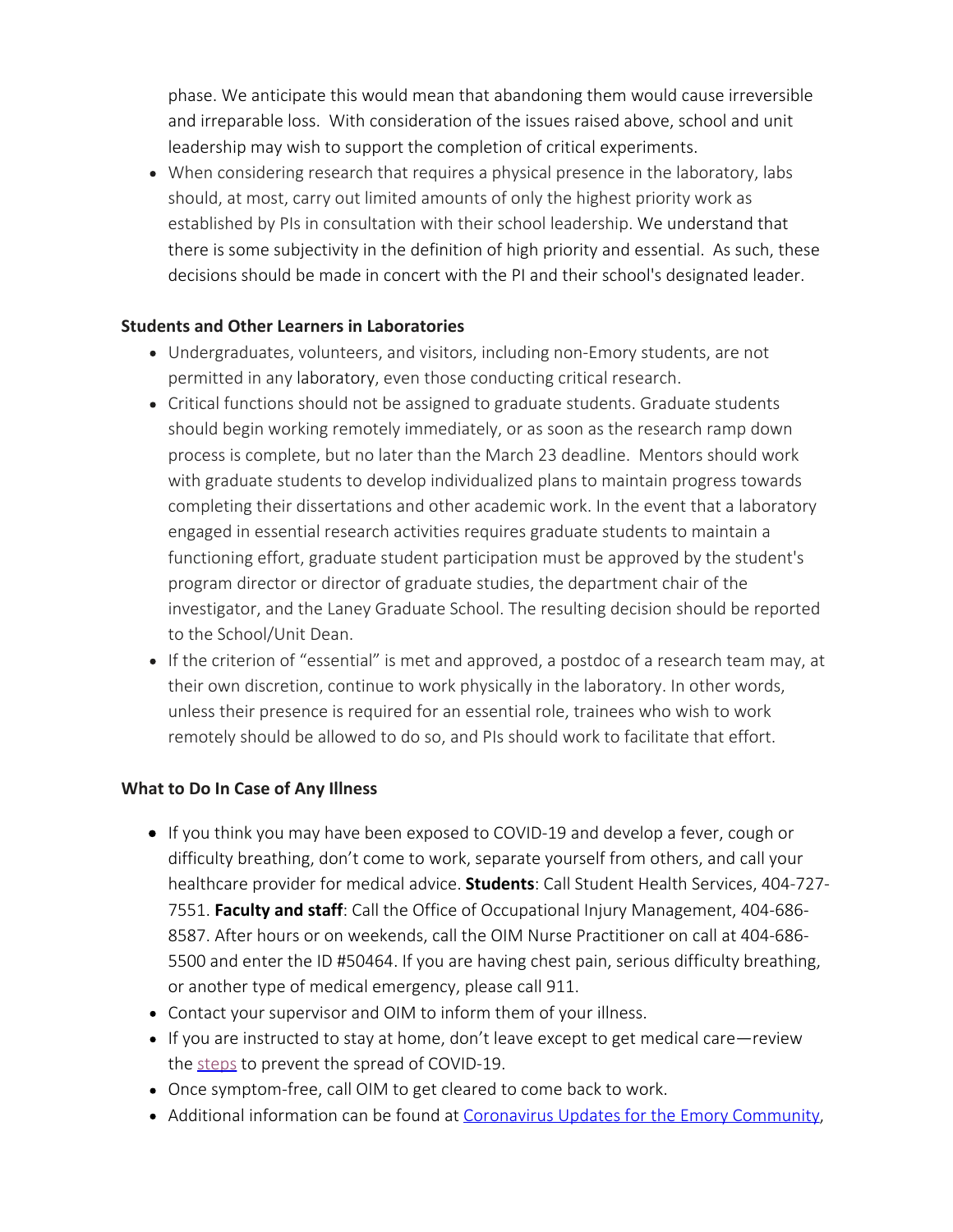phase. We anticipate this would mean that abandoning them would cause irreversible and irreparable loss. With consideration of the issues raised above, school and unit leadership may wish to support the completion of critical experiments.

When considering research that requires a physical presence in the laboratory, labs should, at most, carry out limited amounts of only the highest priority work as established by PIs in consultation with their school leadership. We understand that there is some subjectivity in the definition of high priority and essential. As such, these decisions should be made in concert with the PI and their school's designated leader.

# **Students and Other Learners in Laboratories**

- Undergraduates, volunteers, and visitors, including non-Emory students, are not permitted in any laboratory, even those conducting critical research.
- Critical functions should not be assigned to graduate students. Graduate students should begin working remotely immediately, or as soon as the research ramp down process is complete, but no later than the March 23 deadline. Mentors should work with graduate students to develop individualized plans to maintain progress towards completing their dissertations and other academic work. In the event that a laboratory engaged in essential research activities requires graduate students to maintain a functioning effort, graduate student participation must be approved by the student's program director or director of graduate studies, the department chair of the investigator, and the Laney Graduate School. The resulting decision should be reported to the School/Unit Dean.
- If the criterion of "essential" is met and approved, a postdoc of a research team may, at their own discretion, continue to work physically in the laboratory. In other words, unless their presence is required for an essential role, trainees who wish to work remotely should be allowed to do so, and PIs should work to facilitate that effort.

# **What to Do In Case of Any Illness**

- If you think you may have been exposed to COVID-19 and develop a fever, cough or difficulty breathing, don't come to work, separate yourself from others, and call your healthcare provider for medical advice. **Students**: Call Student Health Services, 404-727- 7551. **Faculty and staff**: Call the Office of Occupational Injury Management, 404-686- 8587. After hours or on weekends, call the OIM Nurse Practitioner on call at 404-686- 5500 and enter the ID #50464. If you are having chest pain, serious difficulty breathing, or another type of medical emergency, please call 911.
- Contact your supervisor and OIM to inform them of your illness.
- If you are instructed to stay at home, don't leave except to get medical care—review the [steps](https://www.cdc.gov/coronavirus/2019-ncov/about/steps-when-sick.html) to prevent the spread of COVID-19.
- Once symptom-free, call OIM to get cleared to come back to work.
- Additional information can be found at [Coronavirus Updates for the Emory Community,](https://www.emory.edu/coronavirus/)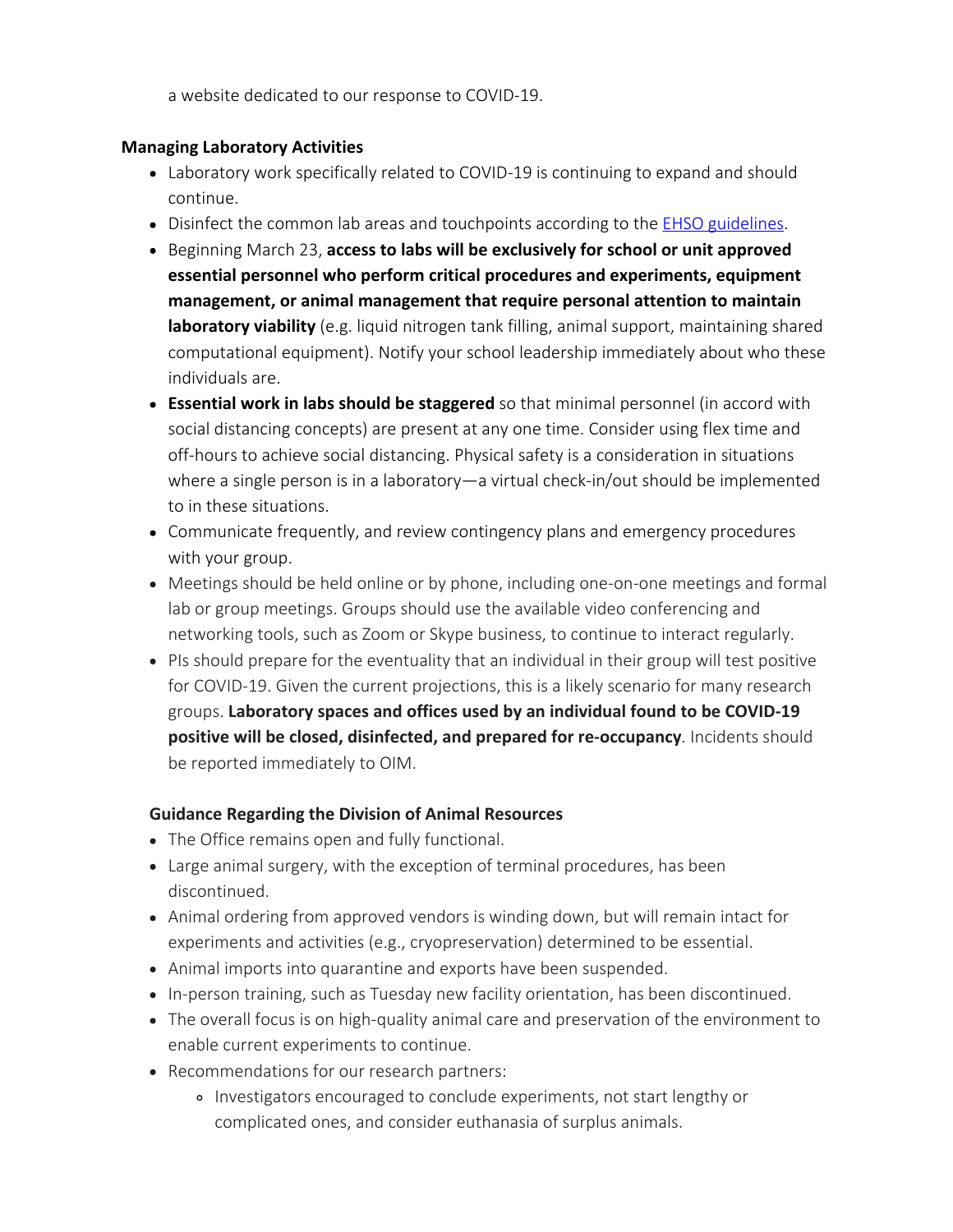a website dedicated to our response to COVID-19.

### **Managing Laboratory Activities**

- Laboratory work specifically related to COVID-19 is continuing to expand and should continue.
- Disinfect the common lab areas and touchpoints according to the **EHSO guidelines**.
- Beginning March 23, **access to labs will be exclusively for school or unit approved essential personnel who perform critical procedures and experiments, equipment management, or animal management that require personal attention to maintain laboratory viability** (e.g. liquid nitrogen tank filling, animal support, maintaining shared computational equipment). Notify your school leadership immediately about who these individuals are.
- **Essential work in labs should be staggered** so that minimal personnel (in accord with social distancing concepts) are present at any one time. Consider using flex time and off-hours to achieve social distancing. Physical safety is a consideration in situations where a single person is in a laboratory—a virtual check-in/out should be implemented to in these situations.
- Communicate frequently, and review contingency plans and emergency procedures with your group.
- Meetings should be held online or by phone, including one-on-one meetings and formal lab or group meetings. Groups should use the available video conferencing and networking tools, such as Zoom or Skype business, to continue to interact regularly.
- PIs should prepare for the eventuality that an individual in their group will test positive for COVID-19. Given the current projections, this is a likely scenario for many research groups. **Laboratory spaces and offices used by an individual found to be COVID-19 positive will be closed, disinfected, and prepared for re-occupancy**. Incidents should be reported immediately to OIM.

# **Guidance Regarding the Division of Animal Resources**

- The Office remains open and fully functional.
- Large animal surgery, with the exception of terminal procedures, has been discontinued.
- Animal ordering from approved vendors is winding down, but will remain intact for experiments and activities (e.g., cryopreservation) determined to be essential.
- Animal imports into quarantine and exports have been suspended.
- In-person training, such as Tuesday new facility orientation, has been discontinued.
- The overall focus is on high-quality animal care and preservation of the environment to enable current experiments to continue.
- Recommendations for our research partners:
	- Investigators encouraged to conclude experiments, not start lengthy or complicated ones, and consider euthanasia of surplus animals.